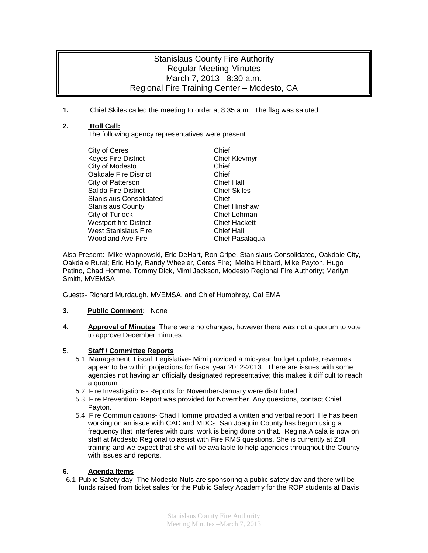# Stanislaus County Fire Authority Regular Meeting Minutes March 7, 2013– 8:30 a.m. Regional Fire Training Center – Modesto, CA

**1.** Chief Skiles called the meeting to order at 8:35 a.m. The flag was saluted.

# **2. Roll Call:**

The following agency representatives were present:

| City of Ceres                  | Chief                |
|--------------------------------|----------------------|
| <b>Keyes Fire District</b>     | <b>Chief Klevmyr</b> |
| City of Modesto                | Chief                |
| <b>Oakdale Fire District</b>   | Chief                |
| City of Patterson              | <b>Chief Hall</b>    |
| Salida Fire District           | <b>Chief Skiles</b>  |
| <b>Stanislaus Consolidated</b> | Chief                |
| <b>Stanislaus County</b>       | <b>Chief Hinshaw</b> |
| City of Turlock                | Chief Lohman         |
| <b>Westport fire District</b>  | <b>Chief Hackett</b> |
| <b>West Stanislaus Fire</b>    | <b>Chief Hall</b>    |
| <b>Woodland Ave Fire</b>       | Chief Pasalaqua      |
|                                |                      |

Also Present: Mike Wapnowski, Eric DeHart, Ron Cripe, Stanislaus Consolidated, Oakdale City, Oakdale Rural; Eric Holly, Randy Wheeler, Ceres Fire; Melba Hibbard, Mike Payton, Hugo Patino, Chad Homme, Tommy Dick, Mimi Jackson, Modesto Regional Fire Authority; Marilyn Smith, MVEMSA

Guests- Richard Murdaugh, MVEMSA, and Chief Humphrey, Cal EMA

### **3. Public Comment:** None

**4. Approval of Minutes**: There were no changes, however there was not a quorum to vote to approve December minutes.

# 5. **Staff / Committee Reports**

- 5.1 Management, Fiscal, Legislative- Mimi provided a mid-year budget update, revenues appear to be within projections for fiscal year 2012-2013. There are issues with some agencies not having an officially designated representative; this makes it difficult to reach a quorum. .
- 5.2 Fire Investigations- Reports for November-January were distributed.
- 5.3 Fire Prevention- Report was provided for November. Any questions, contact Chief Payton.
- 5.4 Fire Communications- Chad Homme provided a written and verbal report. He has been working on an issue with CAD and MDCs. San Joaquin County has begun using a frequency that interferes with ours, work is being done on that. Regina Alcala is now on staff at Modesto Regional to assist with Fire RMS questions. She is currently at Zoll training and we expect that she will be available to help agencies throughout the County with issues and reports.

# **6. Agenda Items**

6.1 Public Safety day- The Modesto Nuts are sponsoring a public safety day and there will be funds raised from ticket sales for the Public Safety Academy for the ROP students at Davis